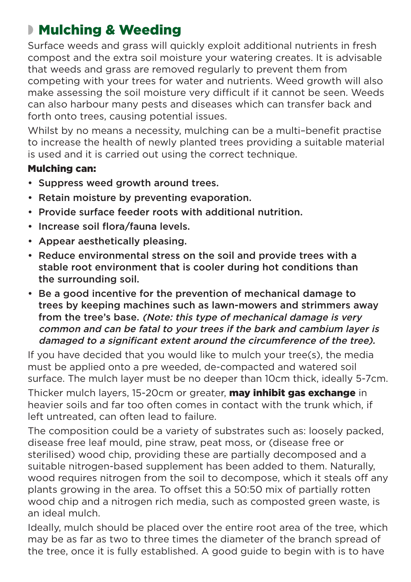## ◗ Mulching & Weeding

Surface weeds and grass will quickly exploit additional nutrients in fresh compost and the extra soil moisture your watering creates. It is advisable that weeds and grass are removed regularly to prevent them from competing with your trees for water and nutrients. Weed growth will also make assessing the soil moisture very difficult if it cannot be seen. Weeds can also harbour many pests and diseases which can transfer back and forth onto trees, causing potential issues.

Whilst by no means a necessity, mulching can be a multi–benefit practise to increase the health of newly planted trees providing a suitable material is used and it is carried out using the correct technique.

## Mulching can:

- Suppress weed growth around trees.
- Retain moisture by preventing evaporation.
- Provide surface feeder roots with additional nutrition.
- Increase soil flora/fauna levels.
- Appear aesthetically pleasing.
- Reduce environmental stress on the soil and provide trees with a stable root environment that is cooler during hot conditions than the surrounding soil.
- Be a good incentive for the prevention of mechanical damage to trees by keeping machines such as lawn-mowers and strimmers away from the tree's base. (Note: this type of mechanical damage is very common and can be fatal to your trees if the bark and cambium layer is damaged to a significant extent around the circumference of the tree).

If you have decided that you would like to mulch your tree(s), the media must be applied onto a pre weeded, de-compacted and watered soil surface. The mulch layer must be no deeper than 10cm thick, ideally 5-7cm.

Thicker mulch layers, 15-20cm or greater, **may inhibit gas exchange** in heavier soils and far too often comes in contact with the trunk which, if left untreated, can often lead to failure.

The composition could be a variety of substrates such as: loosely packed, disease free leaf mould, pine straw, peat moss, or (disease free or sterilised) wood chip, providing these are partially decomposed and a suitable nitrogen-based supplement has been added to them. Naturally, wood requires nitrogen from the soil to decompose, which it steals off any plants growing in the area. To offset this a 50:50 mix of partially rotten wood chip and a nitrogen rich media, such as composted green waste, is an ideal mulch.

Ideally, mulch should be placed over the entire root area of the tree, which may be as far as two to three times the diameter of the branch spread of the tree, once it is fully established. A good guide to begin with is to have